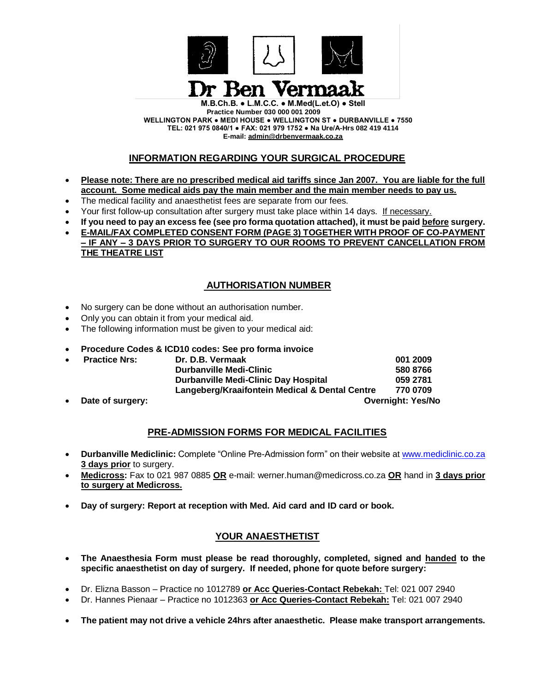

**Practice Number 030 000 001 2009 WELLINGTON PARK ● MEDI HOUSE ● WELLINGTON ST ● DURBANVILLE ● 7550 TEL: 021 975 0840/1 ● FAX: 021 979 1752 ● Na Ure/A-Hrs 082 419 4114 E-mail: [admin@drbenvermaak.co.za](mailto:admin@drbenvermaak.co.za)**

### **INFORMATION REGARDING YOUR SURGICAL PROCEDURE**

- **Please note: There are no prescribed medical aid tariffs since Jan 2007. You are liable for the full account. Some medical aids pay the main member and the main member needs to pay us.**
- The medical facility and anaesthetist fees are separate from our fees.
- Your first follow-up consultation after surgery must take place within 14 days. If necessary.
- **If you need to pay an excess fee (see pro forma quotation attached), it must be paid before surgery.**
- **E-MAIL/FAX COMPLETED CONSENT FORM (PAGE 3) TOGETHER WITH PROOF OF CO-PAYMENT – IF ANY – 3 DAYS PRIOR TO SURGERY TO OUR ROOMS TO PREVENT CANCELLATION FROM THE THEATRE LIST**

## **AUTHORISATION NUMBER**

- No surgery can be done without an authorisation number.
- Only you can obtain it from your medical aid.
- The following information must be given to your medical aid:
- **Procedure Codes & ICD10 codes: See pro forma invoice**

| $\bullet$ | <b>Practice Nrs:</b> | Dr. D.B. Vermaak                               | 001 2009                 |  |
|-----------|----------------------|------------------------------------------------|--------------------------|--|
|           |                      | <b>Durbanville Medi-Clinic</b>                 | 580 8766                 |  |
|           |                      | <b>Durbanville Medi-Clinic Day Hospital</b>    | 059 2781                 |  |
|           |                      | Langeberg/Kraaifontein Medical & Dental Centre | 770 0709                 |  |
| $\bullet$ | Date of surgery:     |                                                | <b>Overnight: Yes/No</b> |  |

#### **PRE-ADMISSION FORMS FOR MEDICAL FACILITIES**

- **Durbanville Mediclinic:** Complete "Online Pre-Admission form" on their website at [www.mediclinic.co.za](http://www.mediclinic.co.za/)  **3 days prior** to surgery.
- **Medicross:** Fax to 021 987 0885 **OR** e-mail: werner.human@medicross.co.za **OR** hand in **3 days prior to surgery at Medicross.**
- **Day of surgery: Report at reception with Med. Aid card and ID card or book.**

#### **YOUR ANAESTHETIST**

- **The Anaesthesia Form must please be read thoroughly, completed, signed and handed to the specific anaesthetist on day of surgery. If needed, phone for quote before surgery:**
- Dr. Elizna Basson Practice no 1012789 **or Acc Queries-Contact Rebekah:** Tel: 021 007 2940
- Dr. Hannes Pienaar Practice no 1012363 **or Acc Queries-Contact Rebekah:** Tel: 021 007 2940
- **The patient may not drive a vehicle 24hrs after anaesthetic. Please make transport arrangements.**